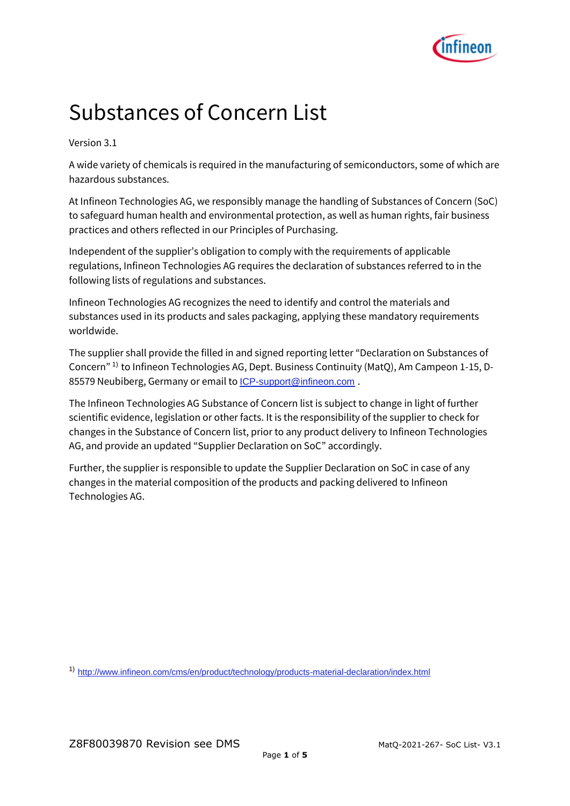

## Substances of Concern List

Version 3.1

A wide variety of chemicals is required in the manufacturing of semiconductors, some of which are hazardous substances.

At Infineon Technologies AG, we responsibly manage the handling of Substances of Concern (SoC) to safeguard human health and environmental protection, as well as human rights, fair business practices and others reflected in our Principles of Purchasing.

Independent of the supplier's obligation to comply with the requirements of applicable regulations, Infineon Technologies AG requires the declaration of substances referred to in the following lists of regulations and substances.

Infineon Technologies AG recognizes the need to identify and control the materials and substances used in its products and sales packaging, applying these mandatory requirements worldwide.

The supplier shall provide the filled in and signed reporting letter "Declaration on Substances of Concern" 1) to Infineon Technologies AG, Dept. Business Continuity (MatQ), Am Campeon 1-15, D-85579 Neubiberg, Germany or email to **[ICP-support@infineon.com](mailto:ICP-support@infineon.com)**.

The Infineon Technologies AG Substance of Concern list is subject to change in light of further scientific evidence, legislation or other facts. It is the responsibility of the supplier to check for changes in the Substance of Concern list, prior to any product delivery to Infineon Technologies AG, and provide an updated "Supplier Declaration on SoC" accordingly.

Further, the supplier is responsible to update the Supplier Declaration on SoC in case of any changes in the material composition of the products and packing delivered to Infineon Technologies AG.

1) <http://www.infineon.com/cms/en/product/technology/products-material-declaration/index.html>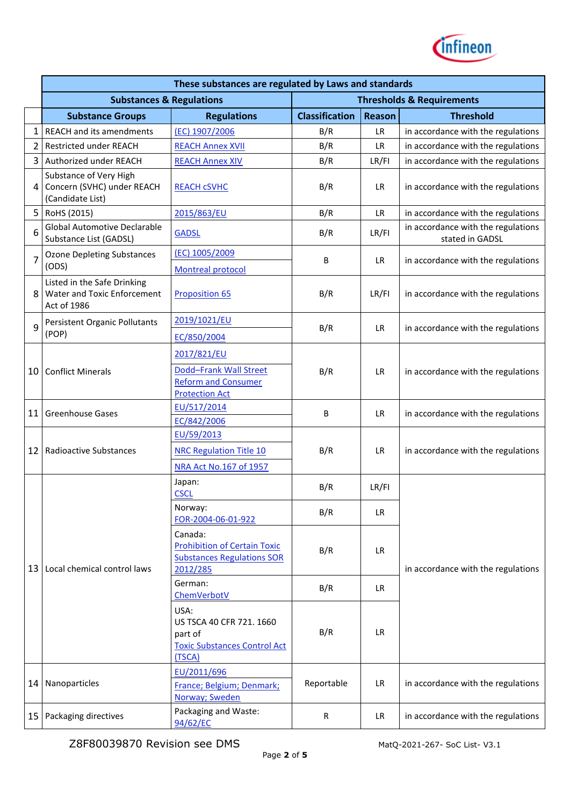

|                | These substances are regulated by Laws and standards                        |                                                                                                 |                       |               |                                                       |  |
|----------------|-----------------------------------------------------------------------------|-------------------------------------------------------------------------------------------------|-----------------------|---------------|-------------------------------------------------------|--|
|                | <b>Substances &amp; Regulations</b><br><b>Thresholds &amp; Requirements</b> |                                                                                                 |                       |               |                                                       |  |
|                | <b>Substance Groups</b>                                                     | <b>Regulations</b>                                                                              | <b>Classification</b> | <b>Reason</b> | <b>Threshold</b>                                      |  |
| $\mathbf{1}$   | REACH and its amendments                                                    | (EC) 1907/2006                                                                                  | B/R                   | <b>LR</b>     | in accordance with the regulations                    |  |
| $\overline{2}$ | <b>Restricted under REACH</b>                                               | <b>REACH Annex XVII</b>                                                                         | B/R                   | <b>LR</b>     | in accordance with the regulations                    |  |
| 3              | Authorized under REACH                                                      | <b>REACH Annex XIV</b>                                                                          | B/R                   | LR/FI         | in accordance with the regulations                    |  |
| 4              | Substance of Very High<br>Concern (SVHC) under REACH<br>(Candidate List)    | <b>REACH CSVHC</b>                                                                              | B/R                   | LR.           | in accordance with the regulations                    |  |
| 5              | RoHS (2015)                                                                 | 2015/863/EU                                                                                     | B/R                   | <b>LR</b>     | in accordance with the regulations                    |  |
| 6              | <b>Global Automotive Declarable</b><br>Substance List (GADSL)               | <b>GADSL</b>                                                                                    | B/R                   | LR/FI         | in accordance with the regulations<br>stated in GADSL |  |
| $\overline{7}$ | <b>Ozone Depleting Substances</b>                                           | (EC) 1005/2009                                                                                  | В                     | LR.           | in accordance with the regulations                    |  |
|                | (ODS)                                                                       | <b>Montreal protocol</b>                                                                        |                       |               |                                                       |  |
| 8              | Listed in the Safe Drinking<br>Water and Toxic Enforcement<br>Act of 1986   | <b>Proposition 65</b>                                                                           | B/R                   | LR/FI         | in accordance with the regulations                    |  |
| 9              | Persistent Organic Pollutants<br>(POP)                                      | 2019/1021/EU<br>EC/850/2004                                                                     | B/R                   | <b>LR</b>     | in accordance with the regulations                    |  |
|                | <b>Conflict Minerals</b>                                                    |                                                                                                 | B/R                   | <b>LR</b>     | in accordance with the regulations                    |  |
| 10             |                                                                             | 2017/821/EU<br>Dodd-Frank Wall Street<br><b>Reform and Consumer</b><br><b>Protection Act</b>    |                       |               |                                                       |  |
| 11             | <b>Greenhouse Gases</b>                                                     | EU/517/2014<br>EC/842/2006                                                                      | B                     | <b>LR</b>     | in accordance with the regulations                    |  |
| 12             | <b>Radioactive Substances</b>                                               | EU/59/2013<br><b>NRC Regulation Title 10</b><br>NRA Act No.167 of 1957                          | B/R                   | <b>LR</b>     | in accordance with the regulations                    |  |
|                | Local chemical control laws                                                 | Japan:<br><b>CSCL</b>                                                                           | B/R                   | LR/FI         |                                                       |  |
|                |                                                                             | Norway:<br>FOR-2004-06-01-922                                                                   | B/R                   | <b>LR</b>     |                                                       |  |
| 13             |                                                                             | Canada:<br><b>Prohibition of Certain Toxic</b><br><b>Substances Regulations SOR</b><br>2012/285 | B/R                   | <b>LR</b>     | in accordance with the regulations                    |  |
|                |                                                                             | German:<br>ChemVerbotV                                                                          | B/R                   | <b>LR</b>     |                                                       |  |
|                |                                                                             | USA:<br>US TSCA 40 CFR 721. 1660<br>part of<br><b>Toxic Substances Control Act</b><br>(TSCA)    | B/R                   | LR.           |                                                       |  |
| 14             | Nanoparticles                                                               | EU/2011/696<br>France; Belgium; Denmark;<br>Norway; Sweden                                      | Reportable            | <b>LR</b>     | in accordance with the regulations                    |  |
| 15             | Packaging directives                                                        | Packaging and Waste:<br>94/62/EC                                                                | R                     | <b>LR</b>     | in accordance with the regulations                    |  |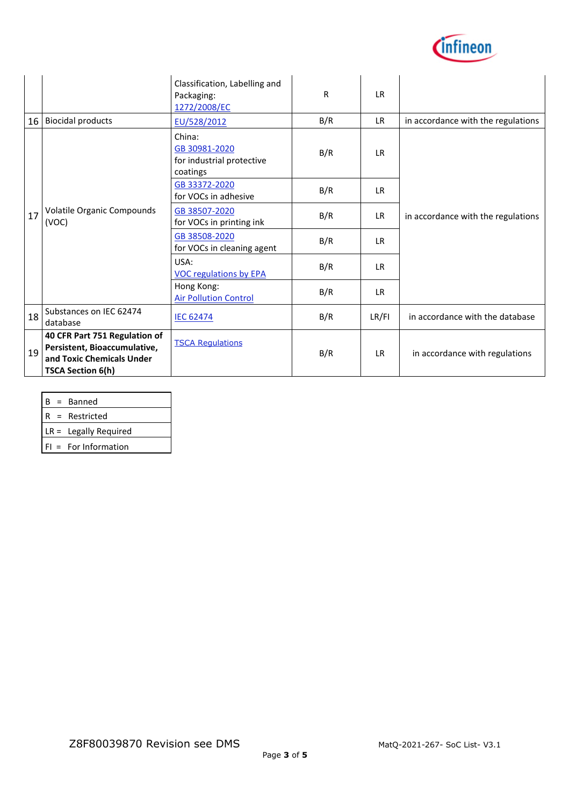

|    |                                                                                                                        | Classification, Labelling and<br>Packaging:<br>1272/2008/EC      | R   | <b>LR</b> |                                    |
|----|------------------------------------------------------------------------------------------------------------------------|------------------------------------------------------------------|-----|-----------|------------------------------------|
| 16 | <b>Biocidal products</b>                                                                                               | EU/528/2012                                                      | B/R | <b>LR</b> | in accordance with the regulations |
| 17 | Volatile Organic Compounds<br>(VOC)                                                                                    | China:<br>GB 30981-2020<br>for industrial protective<br>coatings | B/R | <b>LR</b> | in accordance with the regulations |
|    |                                                                                                                        | GB 33372-2020<br>for VOCs in adhesive                            | B/R | LR.       |                                    |
|    |                                                                                                                        | GB 38507-2020<br>for VOCs in printing ink                        | B/R | <b>LR</b> |                                    |
|    |                                                                                                                        | GB 38508-2020<br>for VOCs in cleaning agent                      | B/R | LR.       |                                    |
|    |                                                                                                                        | USA:<br><b>VOC regulations by EPA</b>                            | B/R | IR.       |                                    |
|    |                                                                                                                        | Hong Kong:<br><b>Air Pollution Control</b>                       | B/R | <b>LR</b> |                                    |
| 18 | Substances on IEC 62474<br>database                                                                                    | <b>IEC 62474</b>                                                 | B/R | LR/FI     | in accordance with the database    |
| 19 | 40 CFR Part 751 Regulation of<br>Persistent, Bioaccumulative,<br>and Toxic Chemicals Under<br><b>TSCA Section 6(h)</b> | <b>TSCA Requlations</b>                                          | B/R | <b>LR</b> | in accordance with regulations     |

| ∗ann. |
|-------|
|-------|

R = Restricted

LR = Legally Required

FI = For Information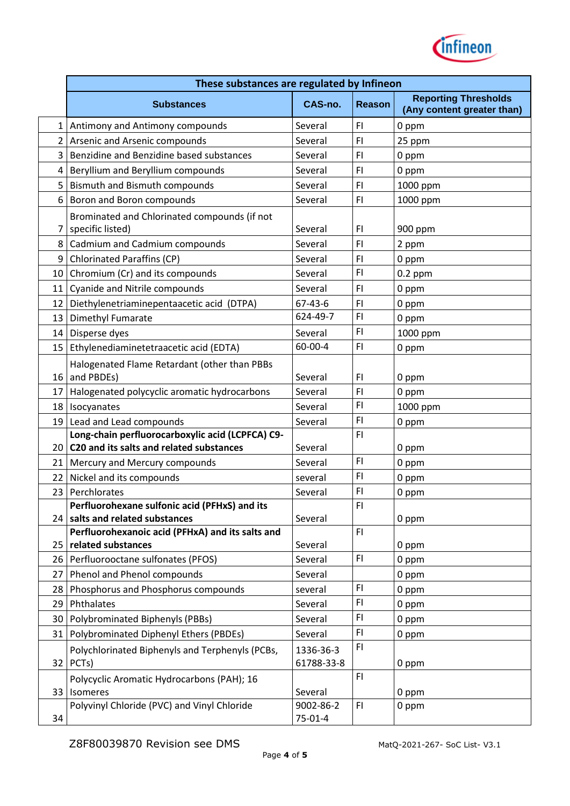

|                 | These substances are regulated by Infineon                             |                |               |                                                           |  |
|-----------------|------------------------------------------------------------------------|----------------|---------------|-----------------------------------------------------------|--|
|                 | <b>Substances</b>                                                      | <b>CAS-no.</b> | <b>Reason</b> | <b>Reporting Thresholds</b><br>(Any content greater than) |  |
| 1               | Antimony and Antimony compounds                                        | Several        | FI            | 0 ppm                                                     |  |
| 2               | Arsenic and Arsenic compounds                                          | Several        | FI            | 25 ppm                                                    |  |
| 3               | Benzidine and Benzidine based substances                               | Several        | FI            | 0 ppm                                                     |  |
| 4               | Beryllium and Beryllium compounds                                      | Several        | F1            | 0 ppm                                                     |  |
| 5               | <b>Bismuth and Bismuth compounds</b>                                   | Several        | FI            | 1000 ppm                                                  |  |
| 6               | Boron and Boron compounds                                              | Several        | FI            | 1000 ppm                                                  |  |
|                 | Brominated and Chlorinated compounds (if not                           |                |               |                                                           |  |
| 7               | specific listed)                                                       | Several        | FI            | 900 ppm                                                   |  |
| 8               | Cadmium and Cadmium compounds                                          | Several        | FI            | 2 ppm                                                     |  |
| 9               | <b>Chlorinated Paraffins (CP)</b>                                      | Several        | FI            | 0 ppm                                                     |  |
| 10              | Chromium (Cr) and its compounds                                        | Several        | F1            | $0.2$ ppm                                                 |  |
| 11              | Cyanide and Nitrile compounds                                          | Several        | FI            | 0 ppm                                                     |  |
| 12              | Diethylenetriaminepentaacetic acid (DTPA)                              | 67-43-6        | F1            | 0 ppm                                                     |  |
| 13              | Dimethyl Fumarate                                                      | 624-49-7       | F1            | 0 ppm                                                     |  |
| 14              | Disperse dyes                                                          | Several        | FI            | 1000 ppm                                                  |  |
| 15 <sup>1</sup> | Ethylenediaminetetraacetic acid (EDTA)                                 | 60-00-4        | FI            | 0 ppm                                                     |  |
|                 | Halogenated Flame Retardant (other than PBBs                           |                |               |                                                           |  |
| 16              | and PBDEs)                                                             | Several        | FI            | 0 ppm                                                     |  |
| 17              | Halogenated polycyclic aromatic hydrocarbons                           | Several        | FI            | 0 ppm                                                     |  |
| 18              | Isocyanates                                                            | Several        | FI            | 1000 ppm                                                  |  |
| 19              | Lead and Lead compounds                                                | Several        | FI            | 0 ppm                                                     |  |
|                 | Long-chain perfluorocarboxylic acid (LCPFCA) C9-                       |                | FI            |                                                           |  |
| 20              | C20 and its salts and related substances                               | Several        |               | 0 ppm                                                     |  |
| 21              | Mercury and Mercury compounds                                          | Several        | FI            | 0 ppm                                                     |  |
| 22              | Nickel and its compounds                                               | several        | FI            | 0 ppm                                                     |  |
| 23              | Perchlorates                                                           | Several        | FI            | 0 ppm                                                     |  |
|                 | Perfluorohexane sulfonic acid (PFHxS) and its                          |                | FI            |                                                           |  |
| 24 I            | salts and related substances                                           | Several        | FI.           | 0 ppm                                                     |  |
| 25 <sub>1</sub> | Perfluorohexanoic acid (PFHxA) and its salts and<br>related substances | Several        |               | 0 ppm                                                     |  |
| 26 <sup>1</sup> | Perfluorooctane sulfonates (PFOS)                                      | Several        | FI            | 0 ppm                                                     |  |
| 27              | Phenol and Phenol compounds                                            | Several        |               | 0 ppm                                                     |  |
| 28              | Phosphorus and Phosphorus compounds                                    | several        | FI            | 0 ppm                                                     |  |
| 29              | Phthalates                                                             | Several        | FI            | 0 ppm                                                     |  |
| 30              | Polybrominated Biphenyls (PBBs)                                        | Several        | FI            | 0 ppm                                                     |  |
| 31              | Polybrominated Diphenyl Ethers (PBDEs)                                 | Several        | FI.           | 0 ppm                                                     |  |
|                 | Polychlorinated Biphenyls and Terphenyls (PCBs,                        | 1336-36-3      | FI.           |                                                           |  |
| 32 <sub>1</sub> | PCT <sub>s</sub> )                                                     | 61788-33-8     |               | 0 ppm                                                     |  |
|                 | Polycyclic Aromatic Hydrocarbons (PAH); 16                             |                | FI.           |                                                           |  |
| 33 <sup>1</sup> | Isomeres                                                               | Several        |               | 0 ppm                                                     |  |
|                 | Polyvinyl Chloride (PVC) and Vinyl Chloride                            | 9002-86-2      | FI.           | 0 ppm                                                     |  |
| 34              |                                                                        | $75 - 01 - 4$  |               |                                                           |  |